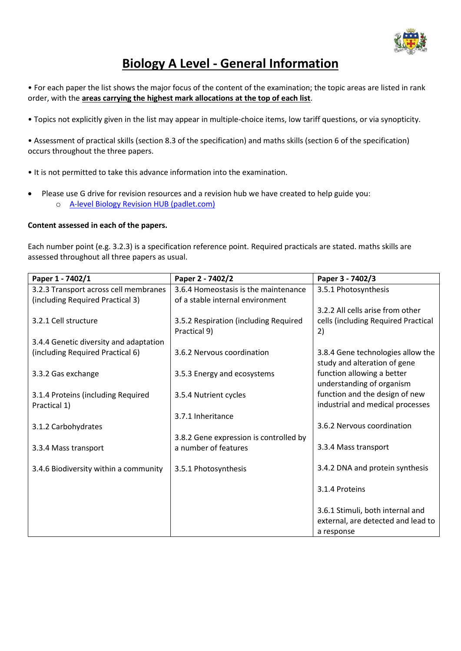

## **Biology A Level - General Information**

• For each paper the list shows the major focus of the content of the examination; the topic areas are listed in rank order, with the **areas carrying the highest mark allocations at the top of each list**.

• Topics not explicitly given in the list may appear in multiple-choice items, low tariff questions, or via synopticity.

• Assessment of practical skills (section 8.3 of the specification) and maths skills (section 6 of the specification) occurs throughout the three papers.

• It is not permitted to take this advance information into the examination.

• Please use G drive for revision resources and a revision hub we have created to help guide you: o [A-level Biology Revision HUB \(padlet.com\)](https://padlet.com/NDHSBIOLOGY/awy7tv4xq9uemcef)

## **Content assessed in each of the papers.**

Each number point (e.g. 3.2.3) is a specification reference point. Required practicals are stated. maths skills are assessed throughout all three papers as usual.

| Paper 1 - 7402/1                       | Paper 2 - 7402/2                       | Paper 3 - 7402/3                    |
|----------------------------------------|----------------------------------------|-------------------------------------|
| 3.2.3 Transport across cell membranes  | 3.6.4 Homeostasis is the maintenance   | 3.5.1 Photosynthesis                |
| (including Required Practical 3)       | of a stable internal environment       |                                     |
|                                        |                                        | 3.2.2 All cells arise from other    |
| 3.2.1 Cell structure                   | 3.5.2 Respiration (including Required  | cells (including Required Practical |
|                                        | Practical 9)                           | 2)                                  |
| 3.4.4 Genetic diversity and adaptation |                                        |                                     |
| (including Required Practical 6)       | 3.6.2 Nervous coordination             | 3.8.4 Gene technologies allow the   |
|                                        |                                        | study and alteration of gene        |
| 3.3.2 Gas exchange                     | 3.5.3 Energy and ecosystems            | function allowing a better          |
|                                        |                                        | understanding of organism           |
| 3.1.4 Proteins (including Required     | 3.5.4 Nutrient cycles                  | function and the design of new      |
| Practical 1)                           |                                        | industrial and medical processes    |
|                                        | 3.7.1 Inheritance                      |                                     |
| 3.1.2 Carbohydrates                    |                                        | 3.6.2 Nervous coordination          |
|                                        | 3.8.2 Gene expression is controlled by |                                     |
| 3.3.4 Mass transport                   | a number of features                   | 3.3.4 Mass transport                |
|                                        |                                        |                                     |
| 3.4.6 Biodiversity within a community  | 3.5.1 Photosynthesis                   | 3.4.2 DNA and protein synthesis     |
|                                        |                                        |                                     |
|                                        |                                        | 3.1.4 Proteins                      |
|                                        |                                        |                                     |
|                                        |                                        | 3.6.1 Stimuli, both internal and    |
|                                        |                                        | external, are detected and lead to  |
|                                        |                                        | a response                          |